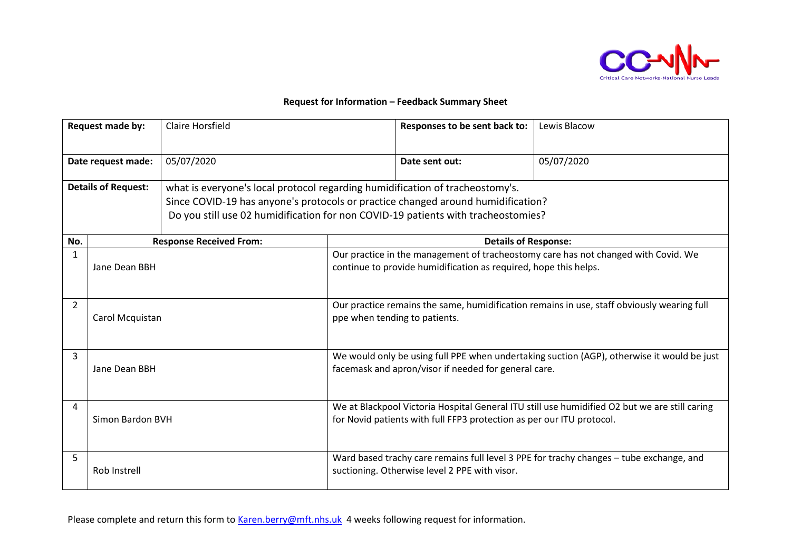

## **Request for Information – Feedback Summary Sheet**

| Request made by:           |                  | <b>Claire Horsfield</b>                                                                                                                                                                                                                                |                                                                                                                                                                        | Responses to be sent back to:                                    | Lewis Blacow                                                                       |  |
|----------------------------|------------------|--------------------------------------------------------------------------------------------------------------------------------------------------------------------------------------------------------------------------------------------------------|------------------------------------------------------------------------------------------------------------------------------------------------------------------------|------------------------------------------------------------------|------------------------------------------------------------------------------------|--|
| Date request made:         |                  | 05/07/2020                                                                                                                                                                                                                                             |                                                                                                                                                                        | Date sent out:                                                   | 05/07/2020                                                                         |  |
| <b>Details of Request:</b> |                  | what is everyone's local protocol regarding humidification of tracheostomy's.<br>Since COVID-19 has anyone's protocols or practice changed around humidification?<br>Do you still use 02 humidification for non COVID-19 patients with tracheostomies? |                                                                                                                                                                        |                                                                  |                                                                                    |  |
| No.                        |                  | <b>Response Received From:</b>                                                                                                                                                                                                                         |                                                                                                                                                                        | <b>Details of Response:</b>                                      |                                                                                    |  |
| $\mathbf{1}$               | Jane Dean BBH    |                                                                                                                                                                                                                                                        |                                                                                                                                                                        | continue to provide humidification as required, hope this helps. | Our practice in the management of tracheostomy care has not changed with Covid. We |  |
| $\overline{2}$             | Carol Mcquistan  |                                                                                                                                                                                                                                                        | Our practice remains the same, humidification remains in use, staff obviously wearing full<br>ppe when tending to patients.                                            |                                                                  |                                                                                    |  |
| 3                          | Jane Dean BBH    |                                                                                                                                                                                                                                                        | We would only be using full PPE when undertaking suction (AGP), otherwise it would be just<br>facemask and apron/visor if needed for general care.                     |                                                                  |                                                                                    |  |
| 4                          | Simon Bardon BVH |                                                                                                                                                                                                                                                        | We at Blackpool Victoria Hospital General ITU still use humidified O2 but we are still caring<br>for Novid patients with full FFP3 protection as per our ITU protocol. |                                                                  |                                                                                    |  |
| 5                          | Rob Instrell     |                                                                                                                                                                                                                                                        | Ward based trachy care remains full level 3 PPE for trachy changes - tube exchange, and<br>suctioning. Otherwise level 2 PPE with visor.                               |                                                                  |                                                                                    |  |

Please complete and return this form to [Karen.berry@mft.nhs.uk](mailto:Karen.berry@mft.nhs.uk) 4 weeks following request for information.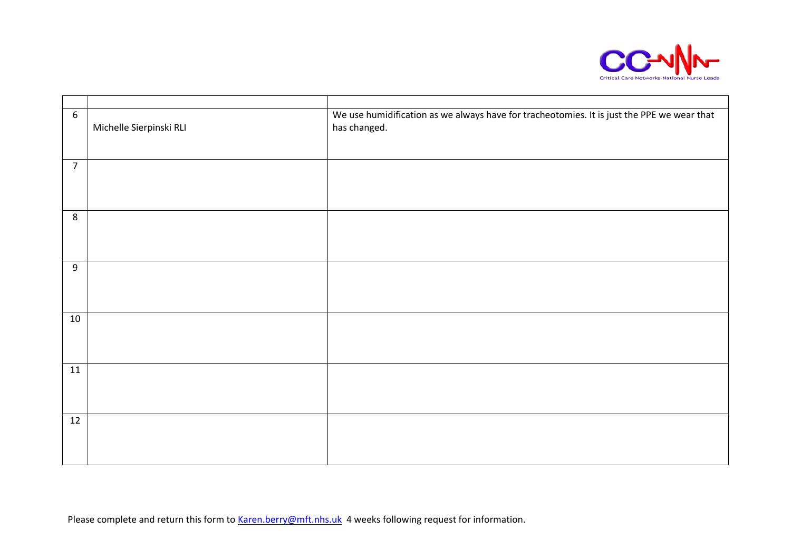

| $6\phantom{1}6$ | Michelle Sierpinski RLI | We use humidification as we always have for tracheotomies. It is just the PPE we wear that<br>has changed. |
|-----------------|-------------------------|------------------------------------------------------------------------------------------------------------|
|                 |                         |                                                                                                            |
| $\overline{7}$  |                         |                                                                                                            |
|                 |                         |                                                                                                            |
| 8               |                         |                                                                                                            |
| $9\,$           |                         |                                                                                                            |
| 10              |                         |                                                                                                            |
| 11              |                         |                                                                                                            |
| 12              |                         |                                                                                                            |